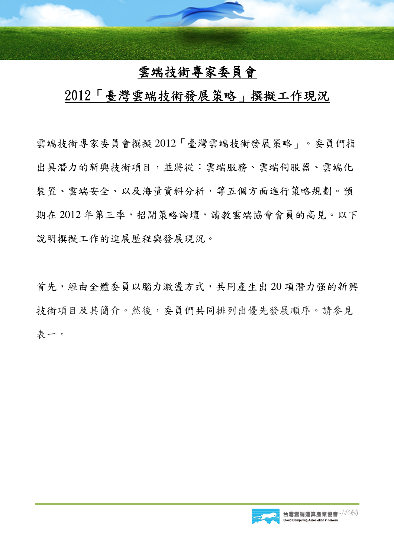## 雲端技術專家委員會

## 2012「臺灣雲端技術發展策略」撰擬工作現況

雲端技術專家委員會撰擬 2012「臺灣雲端技術發展策略」。委員們指 出具潛力的新興技術項目,並將從:雲端服務、雲端伺服器、雲端化 裝置、雲端安全、以及海量資料分析,等五個方面進行策略規劃。預 期在 2012年第三季,招開策略論壇,請教雲端協會會員的高見。以下 說明撰擬工作的進展歷程與發展現況。

首先,經由全體委員以腦力激盪方式,共同產生出 20 項潛力强的新興 技術項目及其簡介。然後,委員們共同排列出優先發展順序。請參見 表一。

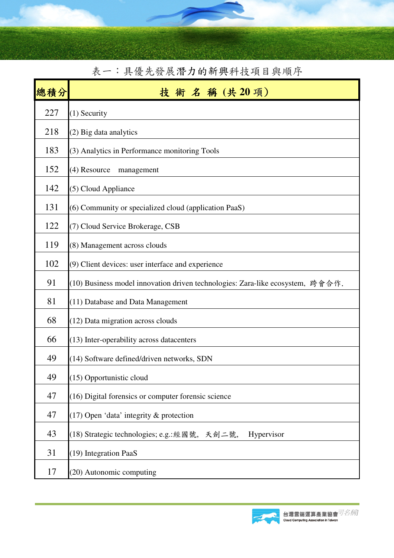| 總積分 | 術名稱(共20項)<br>技                                                                 |  |  |  |
|-----|--------------------------------------------------------------------------------|--|--|--|
| 227 | $(1)$ Security                                                                 |  |  |  |
| 218 | (2) Big data analytics                                                         |  |  |  |
| 183 | (3) Analytics in Performance monitoring Tools                                  |  |  |  |
| 152 | (4) Resource<br>management                                                     |  |  |  |
| 142 | (5) Cloud Appliance                                                            |  |  |  |
| 131 | (6) Community or specialized cloud (application PaaS)                          |  |  |  |
| 122 | (7) Cloud Service Brokerage, CSB                                               |  |  |  |
| 119 | (8) Management across clouds                                                   |  |  |  |
| 102 | $(9)$ Client devices: user interface and experience                            |  |  |  |
| 91  | (10) Business model innovation driven technologies: Zara-like ecosystem, 跨會合作. |  |  |  |
| 81  | $(11)$ Database and Data Management                                            |  |  |  |
| 68  | (12) Data migration across clouds                                              |  |  |  |
| 66  | (13) Inter-operability across datacenters                                      |  |  |  |
| 49  | (14) Software defined/driven networks, SDN                                     |  |  |  |
| 49  | (15) Opportunistic cloud                                                       |  |  |  |
| 47  | (16) Digital forensics or computer forensic science                            |  |  |  |
| 47  | $(17)$ Open 'data' integrity & protection                                      |  |  |  |
| 43  | (18) Strategic technologies; e.g.: 經國號, 天劍二號,<br>Hypervisor                    |  |  |  |
| 31  | (19) Integration PaaS                                                          |  |  |  |
| 17  | (20) Autonomic computing                                                       |  |  |  |

表一:具優先發展潛力的新興科技項目與順序